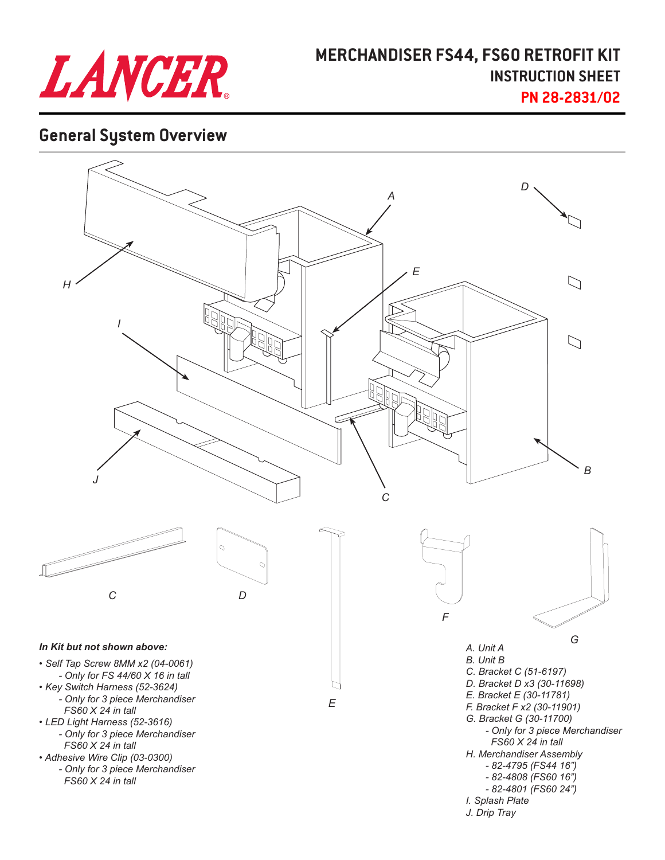

### **MERCHANDISER FS44, FS60 RETROFIT KIT INSTRUCTION SHEET PN 28-2831/02**

## **General System Overview**

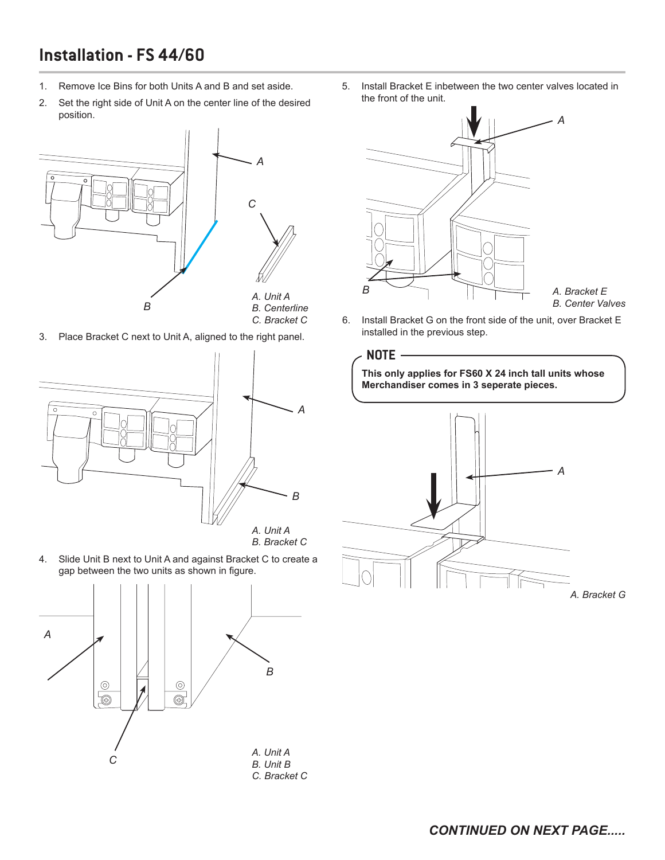# **Installation - FS 44/60**

- 1. Remove Ice Bins for both Units A and B and set aside.
- 2. Set the right side of Unit A on the center line of the desired position.



3. Place Bracket C next to Unit A, aligned to the right panel.



4. Slide Unit B next to Unit A and against Bracket C to create a gap between the two units as shown in figure.



5. Install Bracket E inbetween the two center valves located in the front of the unit.



*A. Bracket E B. Center Valves*

6. Install Bracket G on the front side of the unit, over Bracket E installed in the previous step.

**This only applies for FS60 X 24 inch tall units whose Merchandiser comes in 3 seperate pieces. NOTE** *A*

*A. Bracket G*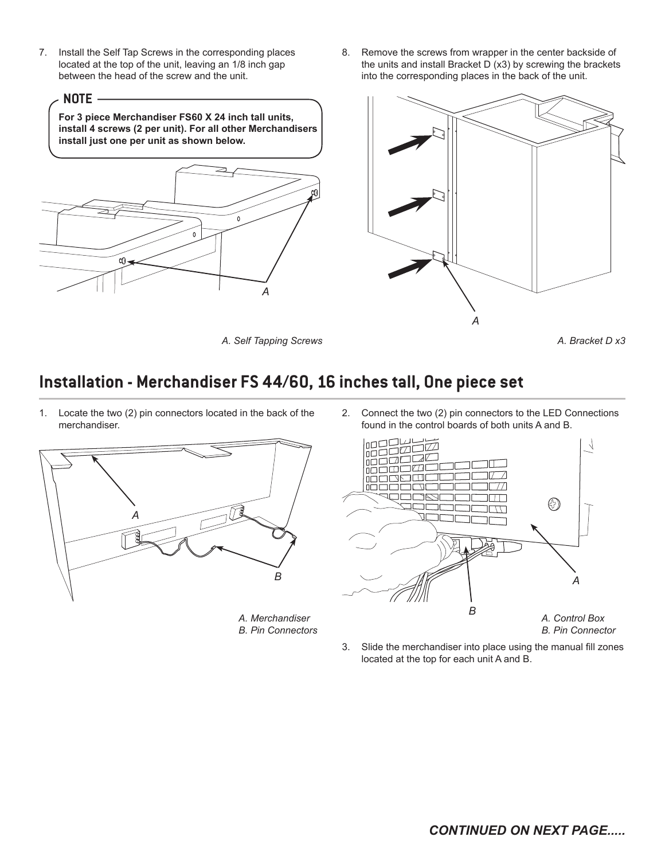- 7. Install the Self Tap Screws in the corresponding places located at the top of the unit, leaving an 1/8 inch gap between the head of the screw and the unit.
	- **NOTE**

**For 3 piece Merchandiser FS60 X 24 inch tall units, install 4 screws (2 per unit). For all other Merchandisers install just one per unit as shown below.**



8. Remove the screws from wrapper in the center backside of the units and install Bracket D (x3) by screwing the brackets into the corresponding places in the back of the unit.



*A. Self Tapping Screws*



# **Installation - Merchandiser FS 44/60, 16 inches tall, One piece set**

1. Locate the two (2) pin connectors located in the back of the merchandiser.



*A. Merchandiser B. Pin Connectors* 2. Connect the two (2) pin connectors to the LED Connections found in the control boards of both units A and B.



3. Slide the merchandiser into place using the manual fill zones located at the top for each unit A and B.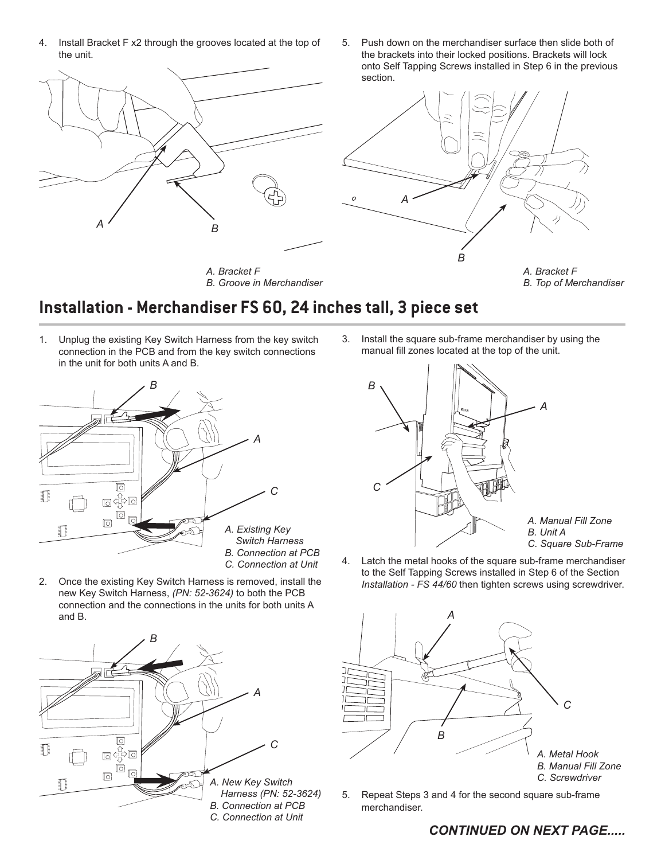- 4. Install Bracket F x2 through the grooves located at the top of the unit.
- 5. Push down on the merchandiser surface then slide both of the brackets into their locked positions. Brackets will lock onto Self Tapping Screws installed in Step 6 in the previous section.



### **Installation - Merchandiser FS 60, 24 inches tall, 3 piece set**

1. Unplug the existing Key Switch Harness from the key switch connection in the PCB and from the key switch connections in the unit for both units A and B.



2. Once the existing Key Switch Harness is removed, install the new Key Switch Harness, *(PN: 52-3624)* to both the PCB connection and the connections in the units for both units A and B.



3. Install the square sub-frame merchandiser by using the manual fill zones located at the top of the unit.



4. Latch the metal hooks of the square sub-frame merchandiser to the Self Tapping Screws installed in Step 6 of the Section *Installation - FS 44/60* then tighten screws using screwdriver.



5. Repeat Steps 3 and 4 for the second square sub-frame merchandiser.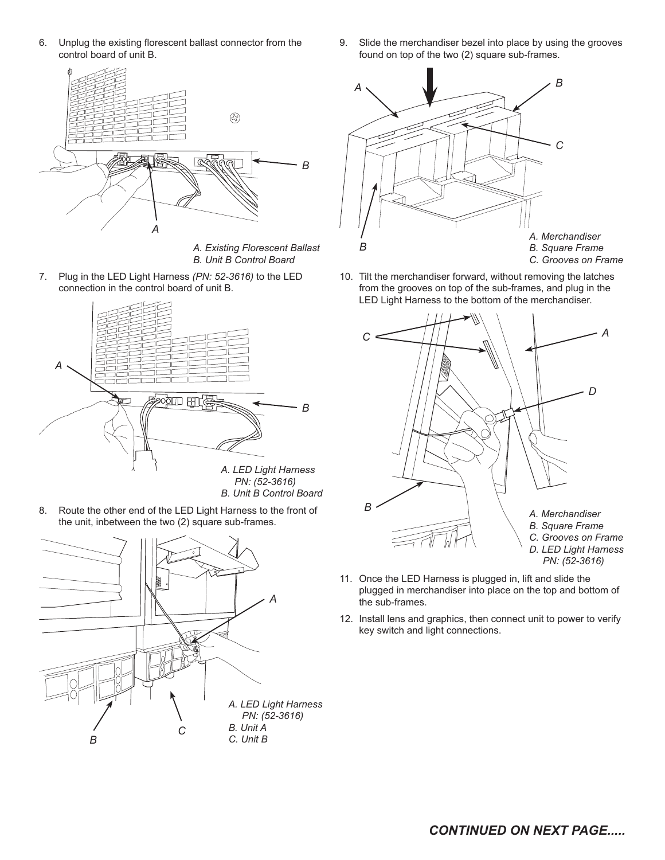6. Unplug the existing florescent ballast connector from the control board of unit B.



*A. Existing Florescent Ballast B. Unit B Control Board*

7. Plug in the LED Light Harness *(PN: 52-3616)* to the LED connection in the control board of unit B.



8. Route the other end of the LED Light Harness to the front of the unit, inbetween the two (2) square sub-frames.



9. Slide the merchandiser bezel into place by using the grooves found on top of the two (2) square sub-frames.



10. Tilt the merchandiser forward, without removing the latches from the grooves on top of the sub-frames, and plug in the LED Light Harness to the bottom of the merchandiser.



- 11. Once the LED Harness is plugged in, lift and slide the plugged in merchandiser into place on the top and bottom of the sub-frames.
- 12. Install lens and graphics, then connect unit to power to verify key switch and light connections.